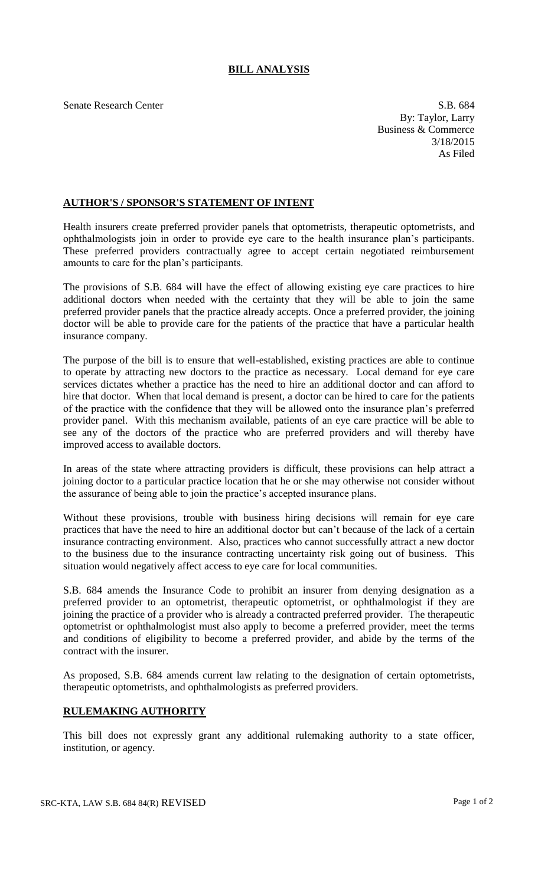## **BILL ANALYSIS**

Senate Research Center S.B. 684 By: Taylor, Larry Business & Commerce 3/18/2015 As Filed

## **AUTHOR'S / SPONSOR'S STATEMENT OF INTENT**

Health insurers create preferred provider panels that optometrists, therapeutic optometrists, and ophthalmologists join in order to provide eye care to the health insurance plan's participants. These preferred providers contractually agree to accept certain negotiated reimbursement amounts to care for the plan's participants.

The provisions of S.B. 684 will have the effect of allowing existing eye care practices to hire additional doctors when needed with the certainty that they will be able to join the same preferred provider panels that the practice already accepts. Once a preferred provider, the joining doctor will be able to provide care for the patients of the practice that have a particular health insurance company.

The purpose of the bill is to ensure that well-established, existing practices are able to continue to operate by attracting new doctors to the practice as necessary. Local demand for eye care services dictates whether a practice has the need to hire an additional doctor and can afford to hire that doctor. When that local demand is present, a doctor can be hired to care for the patients of the practice with the confidence that they will be allowed onto the insurance plan's preferred provider panel. With this mechanism available, patients of an eye care practice will be able to see any of the doctors of the practice who are preferred providers and will thereby have improved access to available doctors.

In areas of the state where attracting providers is difficult, these provisions can help attract a joining doctor to a particular practice location that he or she may otherwise not consider without the assurance of being able to join the practice's accepted insurance plans.

Without these provisions, trouble with business hiring decisions will remain for eye care practices that have the need to hire an additional doctor but can't because of the lack of a certain insurance contracting environment. Also, practices who cannot successfully attract a new doctor to the business due to the insurance contracting uncertainty risk going out of business. This situation would negatively affect access to eye care for local communities.

S.B. 684 amends the Insurance Code to prohibit an insurer from denying designation as a preferred provider to an optometrist, therapeutic optometrist, or ophthalmologist if they are joining the practice of a provider who is already a contracted preferred provider. The therapeutic optometrist or ophthalmologist must also apply to become a preferred provider, meet the terms and conditions of eligibility to become a preferred provider, and abide by the terms of the contract with the insurer.

As proposed, S.B. 684 amends current law relating to the designation of certain optometrists, therapeutic optometrists, and ophthalmologists as preferred providers.

## **RULEMAKING AUTHORITY**

This bill does not expressly grant any additional rulemaking authority to a state officer, institution, or agency.